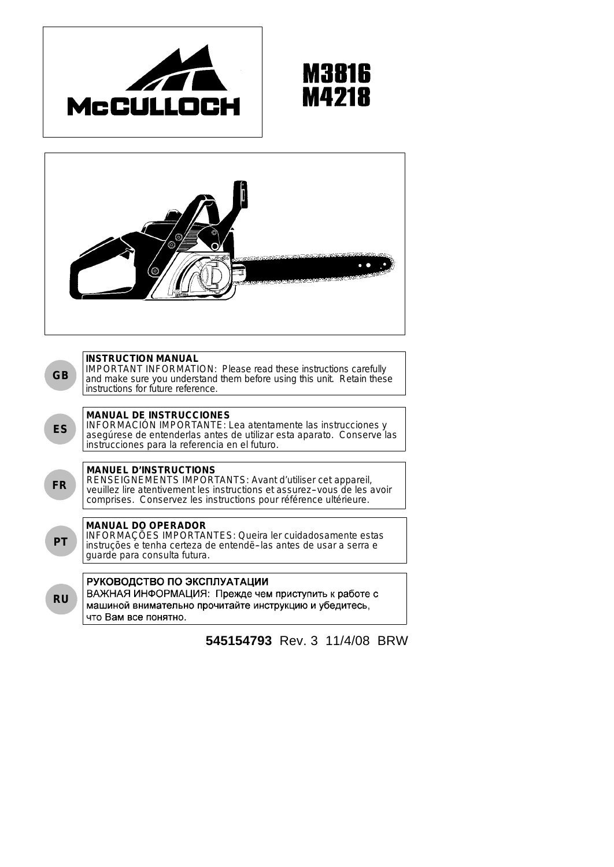





**545154793** Rev. 3 11/4/08 BRW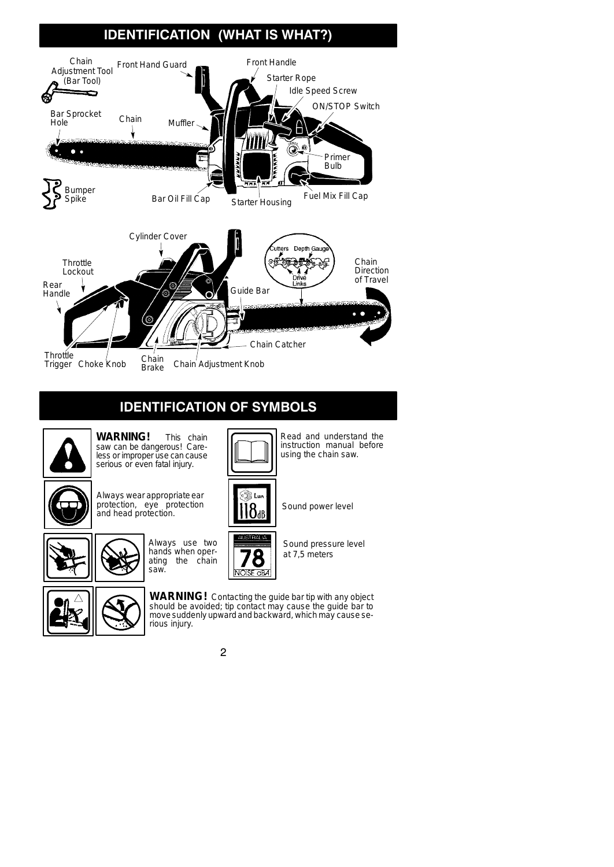# **IDENTIFICATION (WHAT IS WHAT?)**



# **IDENTIFICATION OF SYMBOLS**



**WARNING!** This chain saw can be dangerous! Careless or improper use can cause serious or even fatal injury.



Always wear appropriate ear protection, eye protection protection, eye protection  $\begin{bmatrix} 1 \end{bmatrix} \begin{bmatrix} 8 \end{bmatrix}$  Sound power level







Sound pressure level at 7,5 meters

Read and understand the instruction manual before using the chain saw.



**WARNING!** Contacting the guide bar tip with any object should be avoided; tip contact may cause the guide bar to move suddenly upward and backward, which may cause serious injury.

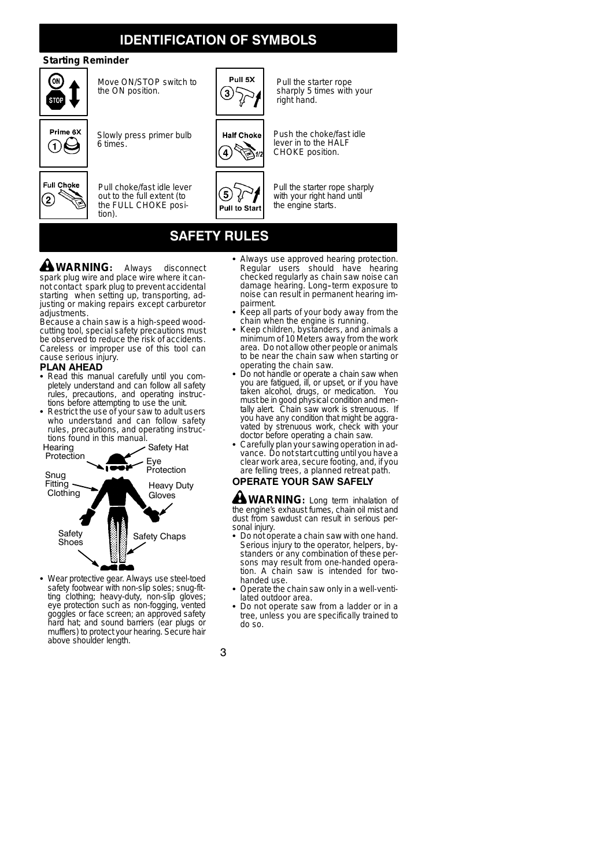## **IDENTIFICATION OF SYMBOLS**

## **Starting Reminder**



Move ON/STOP switch to the ON position.



Slowly press primer bulb

6 times.

tion).



Pull choke/fast idle lever out to the full extent (to the FULL CHOKE posi-



Pull the starter rope sharply 5 times with your right hand.



Push the choke/fast idle lever in to the HALF CHOKE position.

Pull the starter rope sharply with your right hand until the engine starts.

# **SAFETY RULES**

 $\left(5\right)$ ∜

Pull to Start

**WARNING:** Always disconnect spark plug wire and place wire where it cannot contact spark plug to prevent accidental starting when setting up, transporting, adjusting or making repairs except carburetor adjustments.

Because a chain saw is a high-speed woodcutting tool, special safety precautions must be observed to reduce the risk of accidents. Careless or improper use of this tool can cause serious injury.

#### **PLAN AHEAD**

- Read this manual carefully until you completely understand and can follow all safety rules, precautions, and operating instructions before attempting to use the unit.
- Restrict the use of your saw to adult users who understand and can follow safety rules, precautions, and operating instructions found in this manual.



• Wear protective gear. Always use steel-toed safety footwear with non-slip soles; snug-fitting clothing; heavy-duty, non-slip gloves; eye protection such as non-fogging, vented goggles or face screen; an approved safety hard hat; and sound barriers (ear plugs or mufflers) to protect your hearing. Secure hair above shoulder length.

- Always use approved hearing protection. Regular users should have hearing checked regularly as chain saw noise can damage hearing. Long--term exposure to noise can result in permanent hearing impairment.
- Keep all parts of your body away from the chain when the engine is running.
- Keep children, bystanders, and animals a minimum of 10 Meters away from the work area. Do not allow other people or animals to be near the chain saw when starting or operating the chain saw.
- Do not handle or operate a chain saw when you are fatigued, ill, or upset, or if you have taken alcohol, drugs, or medication. You must be in good physical condition andmen-tally alert. Chain saw work is strenuous. If you have any condition that might be aggravated by strenuous work, check with your doctor before operating a chain saw.
- Carefully plan your sawing operation in advance. Do not start cutting until you have a clear work area, secure footing, and, if you are felling trees, a planned retreat path.

## **OPERATE YOUR SAW SAFELY**

**WARNING:** Long term inhalation of the engine's exhaust fumes, chain oil mist and dust from sawdust can result in serious personal injury.

- Do not operate a chain saw with one hand. Serious injury to the operator, helpers, bystanders or any combination of these persons may result from one-handed operation. A chain saw is intended for twohanded use.
- Operate the chain saw only in a well-ventilated outdoor area.
- Do not operate saw from a ladder or in a tree, unless you are specifically trained to do so.

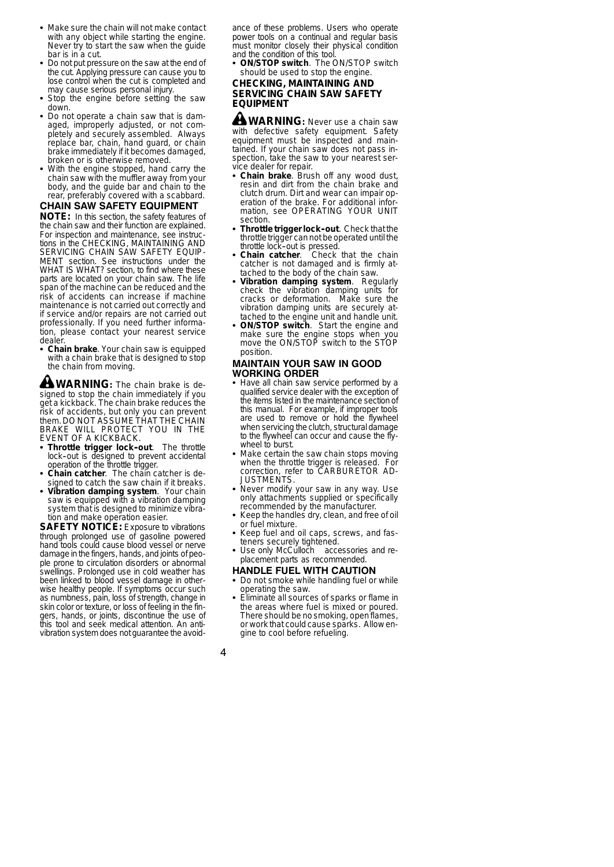- Make sure the chain will not make contact with any object while starting the engine. Never try to start the saw when the guide bar is in a cut.
- Do not put pressure on the saw at the end of the cut. Applying pressure can cause you to lose control when the cut is completed and may cause serious personal injury.
- Stop the engine before setting the saw down.
- Do not operate a chain saw that is damaged, improperly adjusted, or not completely and securely assembled. Always replace bar, chain, hand guard, or chain brake immediately if it becomes damaged, broken or is otherwise removed.
- With the engine stopped, hand carry the chain saw with the muffler away from your body, and the guide bar and chain to the rear, preferably covered with a scabbard.

## **CHAIN SAW SAFETY EQUIPMENT**

**NOTE:** In this section, the safety features of the chain saw and their function are explained. For inspection and maintenance, see instructions in the CHECKING, MAINTAINING AND SERVICING CHAIN SAW SAFETY EQUIP-MENT section. See instructions under the WHAT IS WHAT? section, to find where these parts are located on your chain saw. The life span of the machine can be reduced and the risk of accidents can increase if machine maintenance is not carried out correctly and if service and/or repairs are not carried out professionally. If you need further information, please contact your nearest service dealer.

**Chain brake**. Your chain saw is equipped with a chain brake that is designed to stop the chain from moving.

**WARNING:** The chain brake is designed to stop the chain immediately if you get a kickback. The chain brake reduces the risk of accidents, but only you can prevent them. DO NOT ASSUME THAT THE CHAIN BRAKE WILL PROTECT YOU IN THE EVENT OF A KICKBACK.

- Throttle trigger lock-out. The throttle lock-out is designed to prevent accidental operation of the throttle trigger.
- Chain catcher. The chain catcher is designed to catch the saw chain if it breaks.
- Vibration damping system. Your chain saw is equipped with a vibration damping system that is designed to minimize vibration and make operation easier.

**SAFETY NOTICE:** Exposure to vibrations through prolonged use of gasoline powered hand tools could cause blood vessel or nerve damage in the fingers, hands, and joints of people prone to circulation disorders or abnormal swellings. Prolonged use in cold weather has been linked to blood vessel damage in otherwise healthy people. If symptoms occur such as numbness, pain, loss of strength, change in skin color or texture, or loss of feeling in the fingers, hands, or joints, discontinue the use of this tool and seek medical attention. An antivibration system does not guarantee the avoidance of these problems. Users who operate power tools on a continual and regular basis must monitor closely their physical condition and the condition of this tool.

**ON/STOP switch.** The ON/STOP switch should be used to stop the engine.

## **CHECKING, MAINTAINING AND SERVICING CHAIN SAW SAFETY EQUIPMENT**

**WARNING:** Never use a chain saw with defective safety equipment. Safety equipment must be inspected and maintained. If your chain saw does not pass inspection, take the saw to your nearest service dealer for repair.

- Chain brake. Brush off any wood dust, resin and dirt from the chain brake and clutch drum. Dirt and wear can impair operation of the brake. For additional information, see OPERATING YOUR UNIT section.
- Throttle trigger lock-out. Check that the throttle trigger can not be operated until the
- throttle lock--out is pressed. S **Chain catcher**. Check that the chain catcher is not damaged and is firmly attached to the body of the chain saw.
- Vibration damping system. Regularly check the vibration damping units for cracks or deformation. Make sure the vibration damping units are securely attached to the engine unit and handle unit.
- **ON/STOP switch.** Start the engine and make sure the engine stops when you move the ON/STOP switch to the STOP position.

#### **MAINTAIN YOUR SAW IN GOOD WORKING ORDER**

- Have all chain saw service performed by a qualified service dealer with the exception of the items listed in the maintenance section of this manual. For example, if improper tools are used to remove or hold the flywheel when servicing the clutch, structural damage to the flywheel can occur and cause the flywheel to burst.
- Make certain the saw chain stops moving when the throttle trigger is released. For correction, refer to CARBURETOR AD-JUSTMENTS.
- Never modify your saw in any way. Use<br>only attachments supplied or specifically recommended by the manufacturer.
- Keep the handles dry, clean, and free of oil or fuel mixture.
- Keep fuel and oil caps, screws, and fasteners securely tightened.
- Use only McCulloch accessories and replacement parts as recommended.
- **HANDLE FUEL WITH CAUTION**
- Do not smoke while handling fuel or while operating the saw.
- Eliminate all sources of sparks or flame in the areas where fuel is mixed or poured. There should be no smoking, openflames, or work that could cause sparks. Allow engine to cool before refueling.

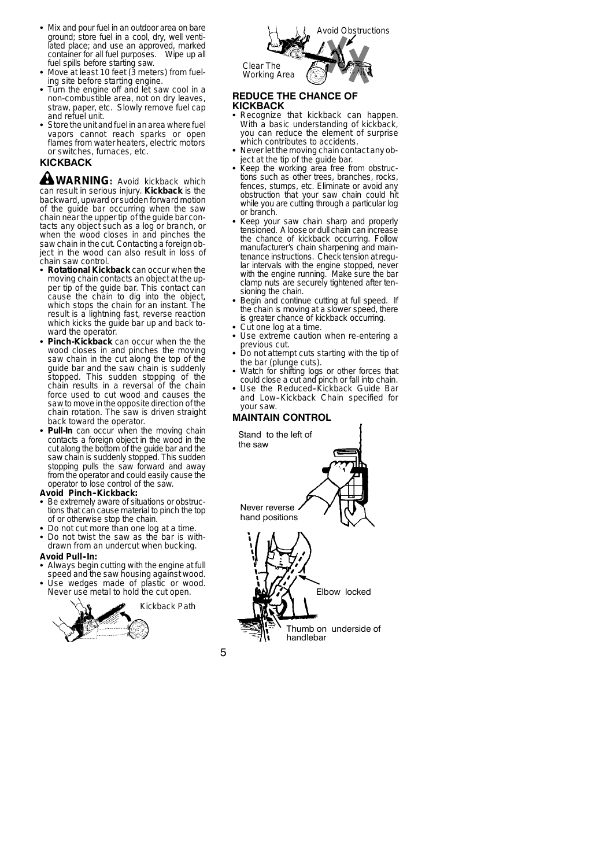- Mix and pour fuel in an outdoor area on bare ground; store fuel in a cool, dry, well ventilated place; and use an approved, marked container for all fuel purposes. Wipe up all fuel spills before starting saw.
- $\bullet$  Move at least 10 feet (3 meters) from fueling site before starting engine.
- Turn the engine off and let saw cool in a non-combustible area, not on dry leaves, straw, paper, etc. Slowly remove fuel cap and refuel unit.
- Store the unit and fuel in an area where fuel vapors cannot reach sparks or open flames from water heaters, electric motors or switches, furnaces, etc.

## **KICKBACK**

**WARNING:** Avoid kickback which can result in serious injury. **Kickback** is the backward, upward or sudden forward motion of the guide bar occurring when the saw chain near the upper tip of the guide bar contacts any object such as a log or branch, or when the wood closes in and pinches the saw chain in the cut. Contacting a foreign object in the wood can also result in loss of chain saw control.

- S **Rotational Kickback** can occur when the moving chain contacts an object at the upper tip of the guide bar. This contact can cause the chain to dig into the object, which stops the chain for an instant. The result is a lightning fast, reverse reaction which kicks the guide bar up and back toward the operator.
- Pinch-Kickback can occur when the the wood closes in and pinches the moving saw chain in the cut along the top of the guide bar and the saw chain is suddenly stopped. This sudden stopping of the chain results in a reversal of the chain force used to cut wood and causes the saw to move in the opposite direction of the chain rotation. The saw is driven straight back toward the operator.
- Pull-In can occur when the moving chain contacts a foreign object in the wood in the cut along the bottom of the guide bar and the saw chain is suddenly stopped. This sudden stopping pulls the saw forward and away from the operator and could easily cause the operator to lose control of the saw.

#### **Avoid Pinch--Kickback:**

- Be extremely aware of situations or obstructions that can cause material to pinch the top of or otherwise stop the chain.
- Do not cut more than one log at a time.
- Do not twist the saw as the bar is withdrawn from an undercut when bucking.

#### **Avoid Pull--In:**

- Always begin cutting with the engine at full speed and the saw housing against wood.
- Use wedges made of plastic or wood. Never use metal to hold the cut open.





#### **REDUCE THE CHANCE OF KICKBACK**

- Recognize that kickback can happen. With a basic understanding of kickback, you can reduce the element of surprise which contributes to accidents.
- Never let the moving chain contact any object at the tip of the guide bar.
- Keep the working area free from obstructions such as other trees, branches, rocks, fences, stumps, etc. Eliminate or avoid any obstruction that your saw chain could hit while you are cutting through a particular log or branch.
- Keep your saw chain sharp and properly tensioned. A loose or dull chain can increase the chance of kickback occurring. Follow manufacturer's chain sharpening and maintenance instructions. Check tension at regular intervals with the engine stopped, never with the engine running. Make sure the bar clamp nuts are securely tightened after tensioning the chain.
- Begin and continue cutting at full speed. If the chain is moving at a slower speed, there is greater chance of kickback occurring.
- Cut one log at a time.
- Use extreme caution when re-entering a previous cut.
- Do not attempt cuts starting with the tip of the bar (plunge cuts). S Watch for shifting logs or other forces that
- could close a cut and pinch or fall into chain.
- Use the Reduced-Kickback Guide Bar and Low-Kickback Chain specified for your saw.

#### **MAINTAIN CONTROL**

Stand to the left of the saw

Never reverse hand positions

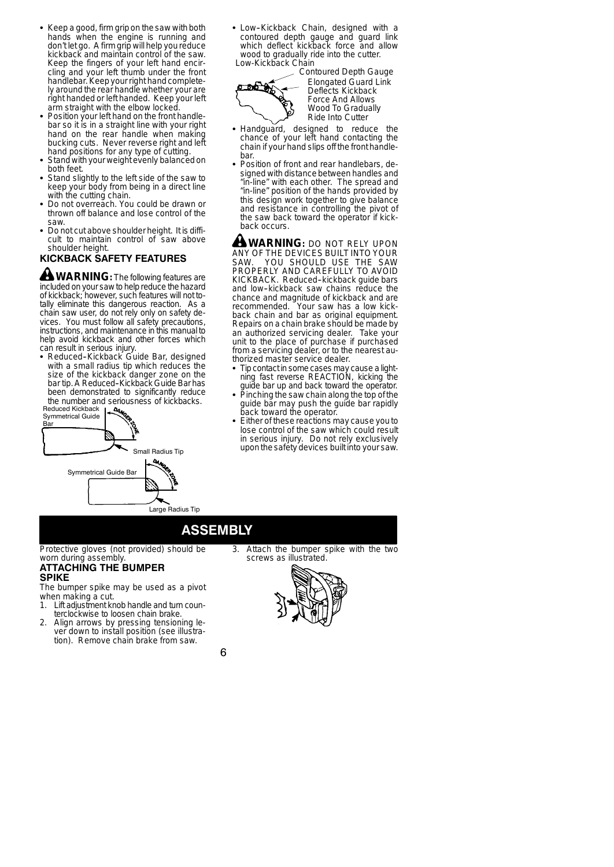- Keep a good, firm grip on the saw with both hands when the engine is running and don't let go. A firm grip will help you reduce kickback and maintain control of the saw. Keep the fingers of your left hand encircling and your left thumb under the front handlebar. Keep your right hand completely around the rear handle whether your are right handed or left handed. Keep your left arm straight with the elbow locked.
- Position your left hand on the front handlebar so it is in a straight line with your right hand on the rear handle when making bucking cuts. Never reverse right and left hand positions for any type of cutting.
- Stand with your weight evenly balanced on both feet.
- Stand slightly to the left side of the saw to keep your body from being in a direct line with the cutting chain.
- Do not overreach. You could be drawn or thrown off balance and lose control of the saw.
- Do not cut above shoulder height. It is difficult to maintain control of saw above shoulder height.

## **KICKBACK SAFETY FEATURES**

 $\triangle$  **WARNING**: The following features are included on your saw to help reduce the hazard of kickback; however, such features will not to-tally eliminate this dangerous reaction. As a chain saw user, do not rely only on safety devices. You must follow all safety precautions, instructions, and maintenance in this manualto help avoid kickback and other forces which can result in serious injury.

• Reduced-Kickback Guide Bar, designed with a small radius tip which reduces the size of the kickback danger zone on the bar tip. A Reduced-Kickback Guide Bar has been demonstrated to significantly reduce the number and seriousness of kickbacks.



• Low-Kickback Chain, designed with a contoured depth gauge and guard link which deflect kickback force and allow wood to gradually ride into the cutter. Low-Kickback Chain



Contoured Depth Gauge Elongated Guard Link Deflects Kickback Force And Allows Wood To Gradually Ride Into Cutter

- Handguard, designed to reduce the chance of your left hand contacting the chain if your hand slips off the front handlebar.
- Position of front and rear handlebars, designed with distance between handles and "in-line" with each other. The spread and "in-line" position of the hands provided by this design work together to give balance and resistance in controlling the pivot of the saw back toward the operator if kickback occurs.

**WARNING:** DO NOT RELY UPON ANY OF THE DEVICES BUILT INTO YOUR SAW. YOU SHOULD USE THE SAW PROPERLY AND CAREFULLY TO AVOID KICKBACK. Reduced-kickback guide bars and low-kickback saw chains reduce the chance and magnitude of kickback and are<br>recommended. Your saw has a low kick-Your saw has a low kickback chain and bar as original equipment. Repairs on a chain brake should be made by an authorized servicing dealer. Take your unit to the place of purchase if purchased from a servicing dealer, or to the nearest authorized master service dealer.

- Tip contact in some cases may cause a lightning fast reverse REACTION, kicking the guide bar up and back toward the operator.
- Pinching the saw chain along the top of the guide bar may push the guide bar rapidly back toward the operator.
- Either of these reactions may cause you to lose control of the saw which could result in serious injury. Do not rely exclusively uponthe safety devices built into your saw.

## **ASSEMBLY**

Protective gloves (not provided) should be worn during assembly.

#### **ATTACHING THE BUMPER SPIKE**

The bumper spike may be used as a pivot when making a cut.<br>1. Lift adjustment kn

- Lift adjustment knob handle and turn counterclockwise to loosen chain brake.
- 2. Align arrows by pressing tensioning lever down to install position (see illustration). Remove chain brake from saw.

Attach the bumper spike with the two screws as illustrated.



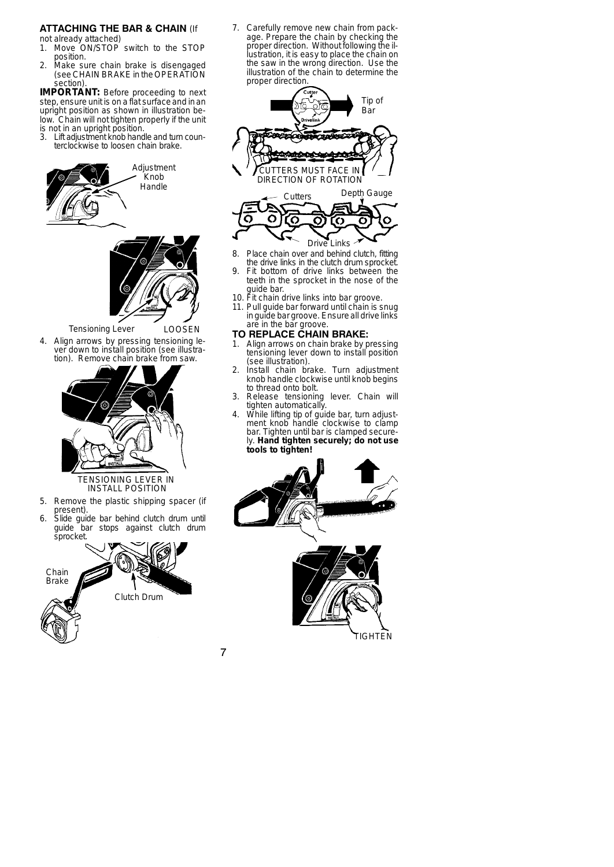## **ATTACHING THE BAR & CHAIN** (If

not already attached)<br>1. Move ON/STOP

- Move ON/STOP switch to the STOP position.
- 2. Make sure chain brake is disengaged (see CHAIN BRAKE in the OPERATION section).

**IMPORTANT:** Before proceeding to next step, ensure unit is on a flat surface and in an upright position as shown in illustration below. Chain will not tighten properly if the unit is not in an upright position.<br>3. Lift adjustment knob hand

Lift adjustment knob handle and turn counterclockwise to loosen chain brake.



#### Tensioning Lever LOOSEN

4. Align arrows by pressing tensioning lever down to install position (see illustration). Remove chain brake from saw.



## TENSIONING LEVER IN INSTALL POSITION

- 5. Remove the plastic shipping spacer (if present).
- 6. Slide guide bar behind clutch drum until guide bar stops against clutch drum sprocket.



7. Carefully remove new chain from package. Prepare the chain by checking the proper direction. Without following the illustration, it is easy to place the chain on the saw in the wrong direction. Use the illustration of the chain to determine the proper direction.



- Drive Links 8. Place chain over and behind clutch, fitting the drive links in the clutch drum sprocket.
- 9. Fit bottom of drive links between the teeth in the sprocket in the nose of the guide bar.
- 10. Fit chain drive links into bar groove.
- 11. Pull guide bar forward until chain is snug in guide bar groove. Ensure all drive links are in the bar groove.

## **TO REPLACE CHAIN BRAKE:**

- 1. Align arrows on chain brake by pressing tensioning lever down to install position (see illustration).
- 2. Install chain brake. Turn adjustment knob handle clockwise until knob begins to thread onto bolt.
- 3. Release tensioning lever. Chain will tighten automatically.
- 4. While lifting tip of guide bar, turn adjust-ment knob handle clockwise to clamp bar. Tighten until bar is clamped securely. **Hand tighten securely; do not use tools to tighten!**



7

TIGHTEN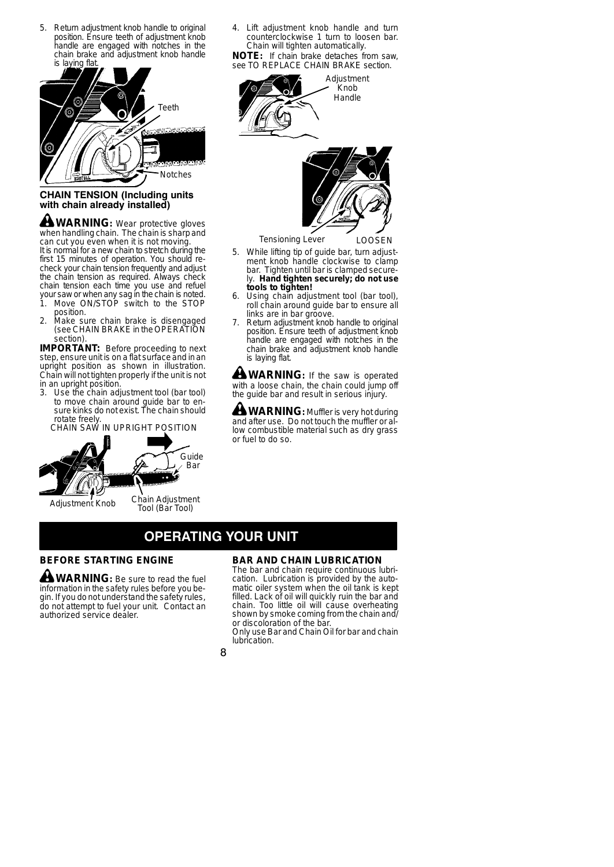5. Return adjustment knob handle to original position. Ensure teeth of adjustment knob handle are engaged with notches in the chain brake and adjustment knob handle is laying flat



## **CHAIN TENSION (Including units with chain already installed)**

**WARNING:** Wear protective gloves when handling chain. The chain is sharp and can cut you even when it is not moving. It is normal for a new chain to stretch during the first 15 minutes of operation. You should recheck your chain tension frequently and adjust the chain tension as required. Always check chain tension each time you use and refuel

- your saw or when any sag in the chain is noted.<br>1. Move ON/STOP switch to the STOP Move ON/STOP switch to the STOP position.
- 2. Make sure chain brake is disengaged (see CHAIN BRAKE in the OPERATION section).

**IMPORTANT:** Before proceeding to next step, ensure unit is on a flat surface and in an upright position as shown in illustration. Chain will not tighten properly if the unit is not in an upright position.

3. Use the chain adjustment tool (bar tool) to move chain around guide bar to en-sure kinks do not exist. The chain should rotate freely. CHAIN SAW IN UPRIGHT POSITION



Adjustment Knob

Chain Adjustment Tool (Bar Tool)

Guide Bar

4. Lift adjustment knob handle and turn counterclockwise 1 turn to loosen bar. Chain will tighten automatically.

**NOTE:** If chain brake detaches from saw, see TO REPLACE CHAIN BRAKE section.





Tensioning Lever LOOSEN

- 5. While lifting tip of guide bar, turn adjustment knob handle clockwise to clamp bar. Tighten until bar is clamped securely. **Hand tighten securely; do not use tools to tighten!**
- 6. Using chain adjustment tool (bar tool), roll chain around guide bar to ensure all links are in bar groove.
- 7. Return adjustment knob handle to original position. Ensure teeth of adjustment knob handle are engaged with notches in the chain brake and adjustment knob handle is laying flat.

**WARNING:** If the saw is operated with a loose chain, the chain could jump off the guide bar and result in serious injury.

**WARNING:** Muffler is very hot during and after use. Do not touch the muffler or allow combustible material such as dry grass or fuel to do so.

# **OPERATING YOUR UNIT**

## **BEFORE STARTING ENGINE**

**WARNING:** Be sure to read the fuel information in the safety rules before you begin. If you do not understand the safety rules, do not attempt to fuel your unit. Contact an authorized service dealer.

## **BAR AND CHAIN LUBRICATION**

The bar and chain require continuous lubrication. Lubrication is provided by the automatic oiler system when the oil tank is kept filled. Lack of oil will quickly ruin the bar and chain. Too little oil will cause overheating shown by smoke coming from the chain and/ or discoloration of the bar.

Only use Bar and Chain Oil for bar and chain lubrication.

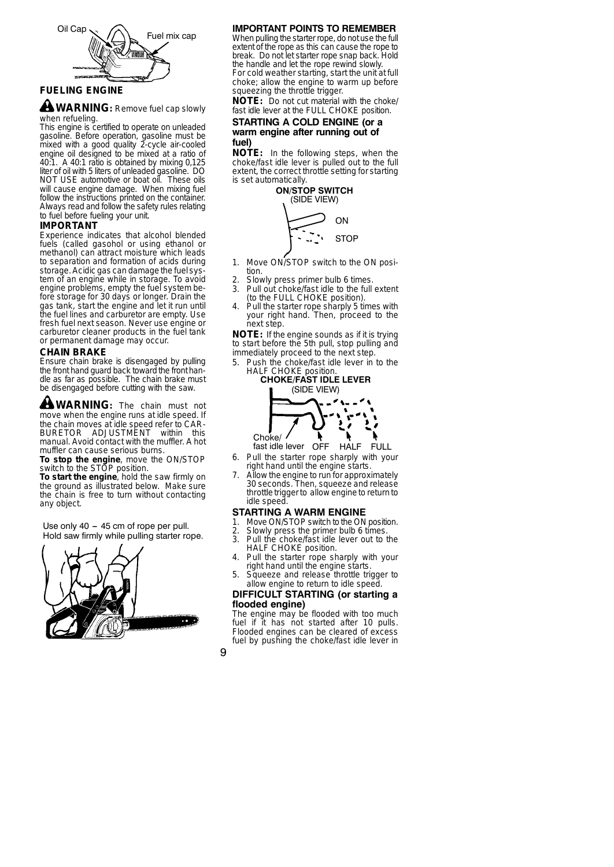

## **FUELING ENGINE**

**WARNING:** Remove fuel cap slowly when refueling.

This engine is certified to operate on unleaded gasoline. Before operation, gasoline must be mixed with a good quality 2-cycle air-cooled engine oil designed to be mixed at a ratio of 40:1. A 40:1 ratio is obtained by mixing 0,125 liter of oil with 5 liters of unleaded gasoline. DO NOT USE automotive or boat oil. These oils will cause engine damage. When mixing fuel follow the instructions printed on the container. Always read and follow the safety rules relating to fuel before fueling your unit.

#### **IMPORTANT**

Experience indicates that alcohol blended fuels (called gasohol or using ethanol or methanol) can attract moisture which leads to separation and formation of acids during storage. Acidic gas can damage the fuel system of an engine while in storage. To avoid engine problems, empty the fuel system before storage for 30 days or longer. Drain the gas tank, start the engine and let it run until the fuel lines and carburetor are empty. Use fresh fuel next season. Never use engine or carburetor cleaner products in the fuel tank or permanent damage may occur.

#### **CHAIN BRAKE**

Ensure chain brake is disengaged by pulling the front hand guard back toward the front handle as far as possible. The chain brake must be disengaged before cutting with the saw.

**WARNING:** The chain must not move when the engine runs at idle speed. If the chain moves at idle speed refer to CAR-BURETOR ADJUSTMENT within this manual. Avoid contact with the muffler. A hot muffler can cause serious burns.

**To stop the engine**, move the ON/STOP switch to the STOP position.

**To start the engine**, hold the saw firmly on the ground as illustrated below. Make sure the chain is free to turn without contacting any object.

Hold saw firmly while pulling starter rope. Use only  $40 - 45$  cm of rope per pull.



## **IMPORTANT POINTS TO REMEMBER**

When pulling the starter rope, do not use the full extent of the rope as this can cause the rope to break. Do not let starter rope snap back. Hold the handle and let the rope rewind slowly. For cold weather starting, start the unit at full choke; allow the engine to warm up before squeezing the throttle trigger.

**NOTE:** Do not cut material with the choke/ fast idle lever at the FULL CHOKE position.

#### **STARTING A COLD ENGINE (or a warm engine after running out of fuel)**

**NOTE:** In the following steps, when the choke/fast idle lever is pulled out to the full extent, the correct throttle setting for starting is set automatically.



- 1. Move ON/STOP switch to the ON position.
- 2. Slowly press primer bulb 6 times.<br>3. Pull out choke/fast idle to the full
- Pull out choke/fast idle to the full extent (to the FULL CHOKE position).
- Pull the starter rope sharply 5 times with your right hand. Then, proceed to the next step.

**NOTE:** If the engine sounds as if it is trying to start before the 5th pull, stop pulling and immediately proceed to the next step.

5. Push the choke/fast idle lever in to the HALF CHOKE position.



HALF fast idle lever FULL

- 6. Pull the starter rope sharply with your right hand until the engine starts.
- 7. Allow the engine to run for approximately 30 seconds. Then, squeeze and release throttle trigger to allow engine to return to idle speed.

# **STARTING A WARM ENGINE**<br>1 Move ON/STOP switch to the ON

- Move ON/STOP switch to the ON position.
- 2. Slowly press the primer bulb 6 times.<br>3. Pull the choke/fast idle lever out to t
- Pull the choke/fast idle lever out to the HALF CHOKE position.
- 4. Pull the starter rope sharply with your right hand until the engine starts.
- 5. Squeeze and release throttle trigger to allow engine to return to idle speed.

### **DIFFICULT STARTING (or starting a flooded engine)**

The engine may be flooded with too much fuel if it has not started after 10 pulls. Flooded engines can be cleared of excess fuel by pushing the choke/fast idle lever in

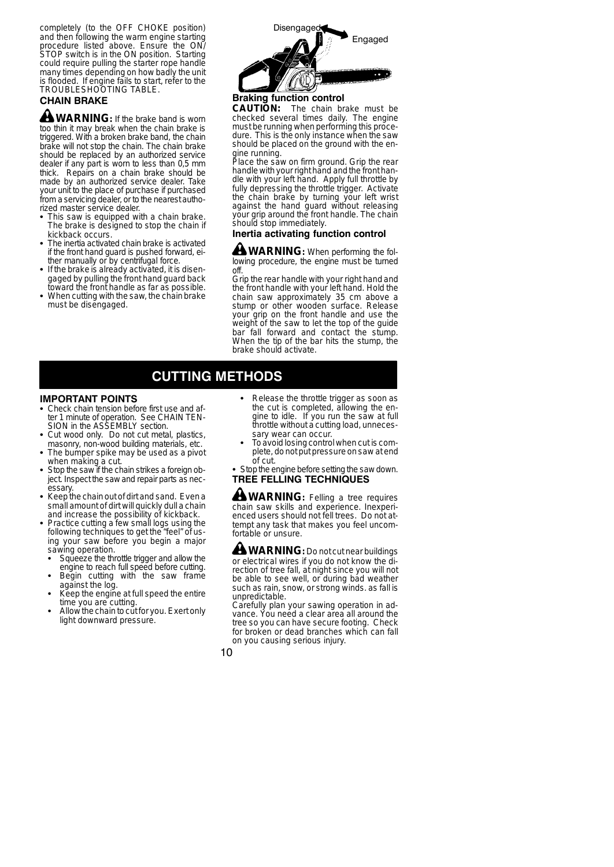completely (to the OFF CHOKE position) and then following the warm engine starting procedure listed above. Ensure the ON/ STOP switch is in the ON position. Starting could require pulling the starter rope handle many times depending on how badly the unit is flooded. If engine fails to start, refer to the TROUBLESHOOTING TABLE.

## **CHAIN BRAKE**

**WARNING:** If the brake band is worn too thin it may break when the chain brake is triggered. With a broken brake band, the chain brake will not stop the chain. The chain brake should be replaced by an authorized service dealer if any part is worn to less than 0,5 mm thick. Repairs on a chain brake should be made by an authorized service dealer. Take your unit to the place of purchase if purchased from a servicing dealer, or to the nearest authorized master service dealer.

- This saw is equipped with a chain brake. The brake is designed to stop the chain if kickback occurs.
- The inertia activated chain brake is activated if the front hand guard is pushed forward, either manually or by centrifugal force.
- If the brake is already activated, it is disengaged by pulling the front hand guard back
- toward the front handle as far as possible. When cutting with the saw, the chain brake must be disengaged.



## **Braking function control**

**CAUTION:** The chain brake must be checked several times daily. The engine must be running when performing this procedure. This is the only instance when the saw should be placed on the ground with the en-

gine running. Place the saw on firm ground. Grip the rear handle with your right hand and the front handle with your left hand. Apply full throttle by fully depressing the throttle trigger. Activate the chain brake by turning your left wrist against the hand guard without releasing your grip around the front handle. The chain should stop immediately.

## **Inertia activating function control**

**WARNING:** When performing the following procedure, the engine must be turned off.

Grip the rear handle with your right hand and the front handle with your left hand. Hold the chain saw approximately 35 cm above a stump or other wooden surface. Release your grip on the front handle and use the weight of the saw to let the top of the guide bar fall forward and contact the stump. When the tip of the bar hits the stump, the brake should activate.

## **CUTTING METHODS**

#### **IMPORTANT POINTS**

- Check chain tension before first use and af-<br>ter 1 minute of operation. See CHAIN TEN-<br>SION in the ASSEMBLY section.
- Cut wood only. Do not cut metal, plastics, masonry, non-wood building materials, etc.
- The bumper spike may be used as a pivot when making a cut.
- Stop the saw if the chain strikes a foreign object. Inspect the saw and repair parts as necessary.
- Keep the chain out of dirt and sand. Even a small amount of dirt will quickly dull a chain and increase the possibility of kickback.
- **Practice cutting a few small logs using the** following techniques to get the "feel" of using your saw before you begin a major sawing operation.
- **Squeeze the throttle trigger and allow the** engine to reach full speed before cutting.<br>• Begin cutting with the saw frame
- against the log. Keep the engine at full speed the entire
- time you are cutting.
- Allow the chain to cut for you. Exert only light downward pressure.
- Release the throttle trigger as soon as the cut is completed, allowing the engine to idle. If you run the saw at full throttle without a cutting load, unneces-<br>sarv wear can occur.
- To avoid losing control when cut is complete, do not put pressure on saw at end
- of cut.<br>Stop the engine before setting the saw down. **TREE FELLING TECHNIQUES**

**WARNING:** Felling a tree requires chain saw skills and experience. Inexperienced users should not fell trees. Do not attempt any task that makes you feel uncomfortable or unsure.

**WARNING:** Do not cut near buildings or electrical wires if you do not know the di-rection of tree fall, at night since you will not be able to see well, or during bad weather such as rain, snow, or strong winds. as fall is unpredictable.

Carefully plan your sawing operation in advance. You need a clear area all around the tree so you can have secure footing. Check for broken or dead branches which can fall on you causing serious injury.

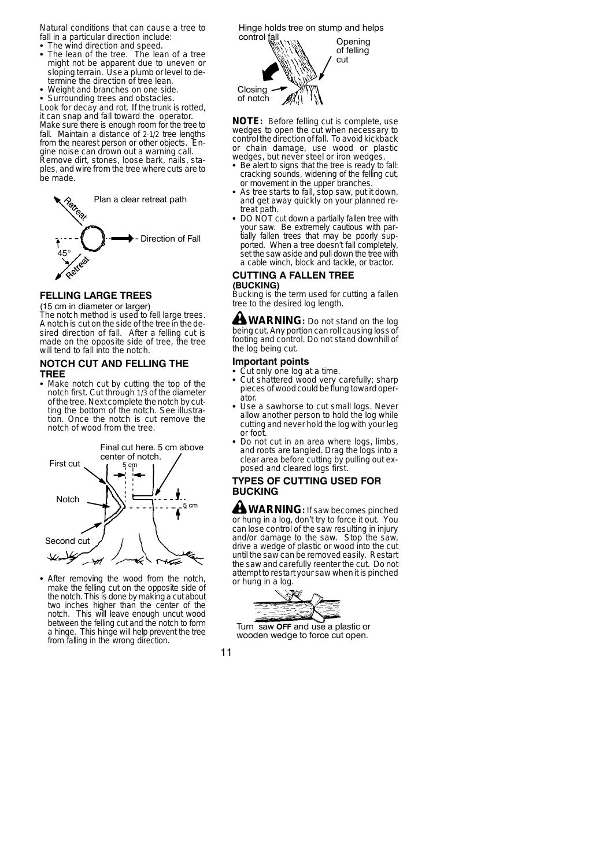Natural conditions that can cause a tree to fall in a particular direction include:

- The wind direction and speed.
- The lean of the tree. The lean of a tree might not be apparent due to uneven or sloping terrain. Use a plumb or level to determine the direction of tree lean.
- Weight and branches on one side.
- Surrounding trees and obstacles.

Look for decay and rot. If the trunk is rotted, it can snap and fall toward the operator. Make sure there is enough room for the tree to fall. Maintain a distance of 2-1/2 tree lengths from the nearest person or other objects. Engine noise can drown out a warning call. Remove dirt, stones, loose bark, nails, staples, and wire from the tree where cuts are to be made.



## **FELLING LARGE TREES**

(15 cm in diameter or larger) The notch method is used to fell large trees. A notch is cut on the side of the tree in the desired direction of fall. After a felling cut is made on the opposite side of tree, the tree will tend to fall into the notch.

#### **NOTCH CUT AND FELLING THE TREE**

• Make notch cut by cutting the top of the notch first. Cut through 1/3 of the diameter of the tree. Next complete the notch by cutting the bottom of the notch. See illustration. Once the notch is cut remove the notch of wood from the tree.



• After removing the wood from the notch, make the felling cut on the opposite side of the notch. This is done by making a cut about two inches higher than the center of the notch. This will leave enough uncut wood between the felling cut and the notch to form a hinge. This hinge will help prevent the tree from falling in the wrong direction.

**Opening** of felling cut Closing of notch Hinge holds tree on stump and helps control fall

**NOTE:** Before felling cut is complete, use wedges to open the cut when necessary to controlthe direction of fall. To avoid kickback or chain damage, use wood or plastic wedges, but never steel or iron wedges.<br>• Be alert to signs that the tree is ready to

- Be alert to signs that the tree is ready to fall: cracking sounds, widening of the felling cut, or movement in the upper branches.
- As tree starts to fall, stop saw, put it down,<br>and get away quickly on your planned retreat path.
- DO NOT cut down a partially fallen tree with your saw. Be extremely cautious with partially fallen trees that may be poorly supported. When a tree doesn't fall completely, set the saw aside and pull down the tree with a cable winch, block and tackle, or tractor.

#### **CUTTING A FALLEN TREE (BUCKING)**

Bucking is the term used for cutting a fallen tree to the desired log length.

**WARNING:** Do not stand on the log being cut. Any portion can roll causing loss of footing and control. Do not stand downhill of the log being cut.

### **Important points**

- Cut only one log at a time.<br>• Cut shattered wood very
- S Cut shattered wood very carefully; sharp pieces of wood could beflung toward operator.
- Use a sawhorse to cut small logs. Never allow another person to hold the log while cutting and never hold the log with your leg or foot.
- Do not cut in an area where logs, limbs, and roots are tangled. Drag the logs into a clear area before cutting by pulling out exposed and cleared logs first.

## **TYPES OF CUTTING USED FOR BUCKING**

**WARNING:** If saw becomes pinched or hung in a log, don't try to force it out. You can lose control of the saw resulting in injury and/or damage to the saw. Stop the saw, drive a wedge of plastic or wood into the cut until the saw can be removed easily. Restart the saw and carefully reenter the cut. Do not attempt to restart your saw when it is pinched or hung in a log.



Turn saw **OFF** and use a plastic or wooden wedge to force cut open.

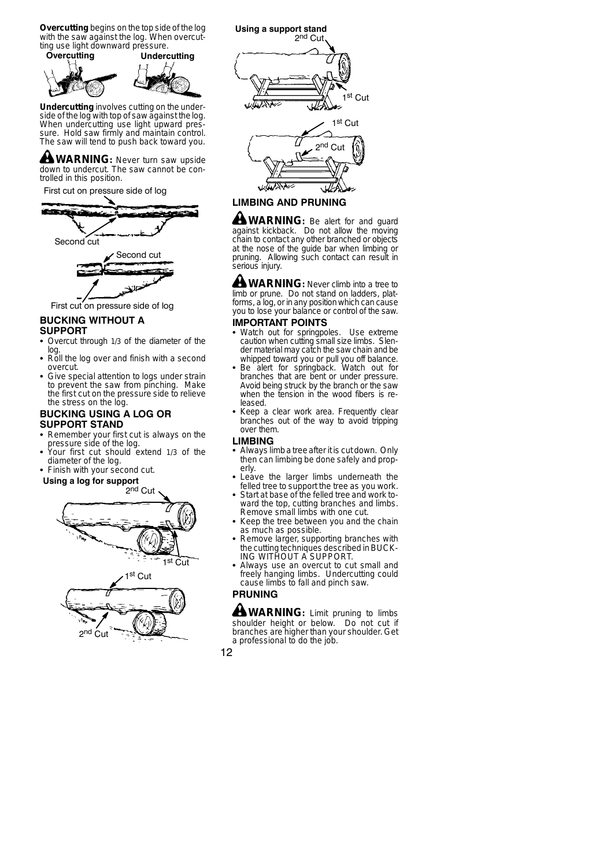**Overcutting** begins on the top side of the log with the saw against the log. When overcutting use light downward pressure.<br>Overcutting Underd



**Undercutting** involves cutting on the underside of the log with top of saw against the log. When undercutting use light upward pressure. Hold saw firmly and maintain control. The saw will tend to push back toward you.

**WARNING:** Never turn saw upside down to undercut. The saw cannot be controlled in this position.

First cut on pressure side of log



First cut on pressure side of log

## **BUCKING WITHOUT A**

- **SUPPORT**
- Overcut through 1/3 of the diameter of the log. S Roll the log over and finish with a second
- overcut.
- Give special attention to logs under strain to prevent the saw from pinching. Make the first cut on the pressure side to relieve the stress on the log.

#### **BUCKING USING A LOG OR SUPPORT STAND**

- Remember your first cut is always on the
- pressure side of the log. S Your first cut should extend 1/3 of the diameter of the log.
- Finish with your second cut.

#### **Using a log for support**





**LIMBING AND PRUNING**

**WARNING:** Be alert for and guard against kickback. Do not allow the moving chain to contact any other branched or objects at the nose of the guide bar when limbing or pruning. Allowing such contact can result in .<br>serious iniurv.

**WARNING:** Never climb into a tree to limb or prune. Do not stand on ladders, platforms, a log, or in any position which can cause you to lose your balance or control of the saw.

## **IMPORTANT POINTS**

- Watch out for springpoles. Use extreme caution when cutting small size limbs. Slender material may catch the saw chain and be
- whipped toward you or pull you off balance.<br>• Be alert for springback. Watch out for<br>branches that are bent or under pressure.<br>Avoid being struck by the branch or the saw when the tension in the wood fibers is released.
- Keep a clear work area. Frequently clear branches out of the way to avoid tripping over them.

#### **LIMBING**

- Always limb a tree after it is cut down. Only then can limbing be done safely and properly.
- Leave the larger limbs underneath the felled tree to support the tree as you work.
- Start at base of the felled tree and work toward the top, cutting branches and limbs. Remove small limbs with one cut.
- Keep the tree between you and the chain as much as possible.
- Remove larger, supporting branches with the cutting techniques described in BUCK-<br>ING WITHOUT A SUPPORT.
- Always use an overcut to cut small and freely hanging limbs. Undercutting could cause limbs to fall and pinch saw.

## **PRUNING**

**WARNING:** Limit pruning to limbs shoulder height or below. Do not cut if branches are higher than your shoulder. Get a professional to do the job.

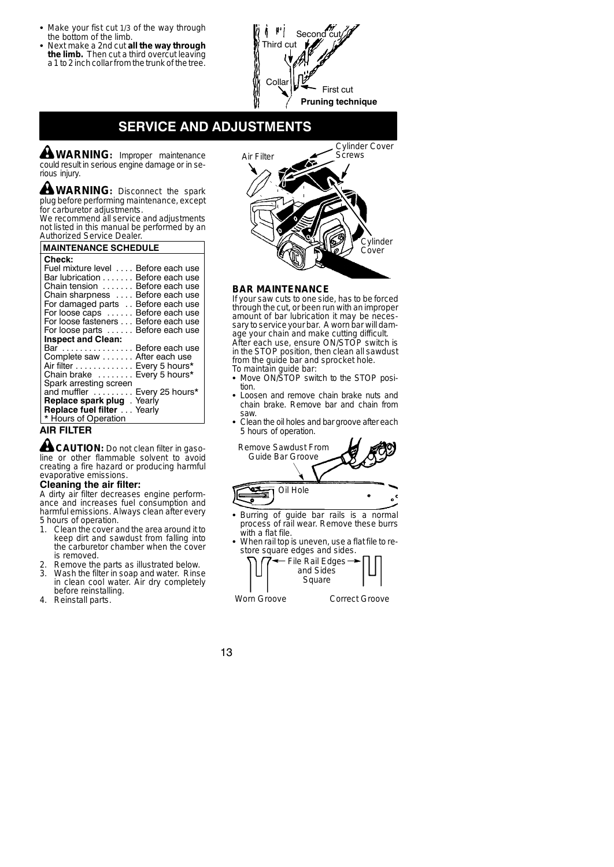- Make your fist cut 1/3 of the way through the bottom of the limb.
- S Next make a 2nd cut **all the way through the limb.** Then cut a third overcut leaving a 1 to 2 inch collar from the trunk of the tree.

 $\mathbf{r}$ Secor Third cu Colla First cut **Pruning technique**

# **SERVICE AND ADJUSTMENTS**

**WARNING:** Improper maintenance could result in serious engine damage or in serious injury.

**WARNING:** Disconnect the spark plug before performing maintenance, except for carburetor adjustments.

We recommend all service and adjustments not listed in this manual be performed by an Authorized Service Dealer.

### **MAINTENANCE SCHEDULE**

| Check:<br>Fuel mixture level Before each use<br>Bar lubrication Before each use<br>Chain tension  Before each use<br>Chain sharpness  Before each use<br>For damaged parts Before each use<br>For loose caps  Before each use<br>For loose fasteners Before each use<br>For loose parts  Before each use |  |
|----------------------------------------------------------------------------------------------------------------------------------------------------------------------------------------------------------------------------------------------------------------------------------------------------------|--|
| <b>Inspect and Clean:</b>                                                                                                                                                                                                                                                                                |  |
| Bar  Before each use                                                                                                                                                                                                                                                                                     |  |
| Complete saw After each use                                                                                                                                                                                                                                                                              |  |
| Air filter Every 5 hours*                                                                                                                                                                                                                                                                                |  |
| Chain brake  Every 5 hours*                                                                                                                                                                                                                                                                              |  |
| Spark arresting screen                                                                                                                                                                                                                                                                                   |  |
| and muffler  Every 25 hours*                                                                                                                                                                                                                                                                             |  |
| Replace spark plug. Yearly                                                                                                                                                                                                                                                                               |  |
| Replace fuel filter Yearly<br>* Hours of Operation                                                                                                                                                                                                                                                       |  |

## **AIR FILTER**

**CAUTION:** Do not clean filter in gasoline or other flammable solvent to avoid creating a fire hazard or producing harmful evaporative emissions.

#### **Cleaning the air filter:**

A dirty air filter decreases engine performance and increases fuel consumption and harmful emissions. Always clean after every 5 hours of operation.<br>1. Clean the cover a

- 1. Clean the cover and the area around it to keep dirt and sawdust from falling into the carburetor chamber when the cover is removed.
- 2. Remove the parts as illustrated below.<br>3. Wash the filter in soan and water. Rins
- Wash the filter in soap and water. Rinse in clean cool water. Air dry completely before reinstalling.
- 4. Reinstall parts.



### **BAR MAINTENANCE**

If your saw cuts to one side, has to be forced through the cut, or been run with an improper amount of bar lubrication it may be necessary to service your bar. A worn bar will damage your chain and make cutting difficult. After each use, ensure ON/STOP switch is in the STOP position, then clean all sawdust from the guide bar and sprocket hole.

- To maintain guide bar: S Move ON/STOP switch to the STOP position.
- Loosen and remove chain brake nuts and chain brake. Remove bar and chain from saw.
- Clean the oil holes and bar groove after each 5 hours of operation.



- Burring of guide bar rails is a normal process of rail wear. Remove these burrs with a flat file.
- When rail top is uneven, use a flat file to restore square edges and sides.



Worn Groove **Correct Groove** 

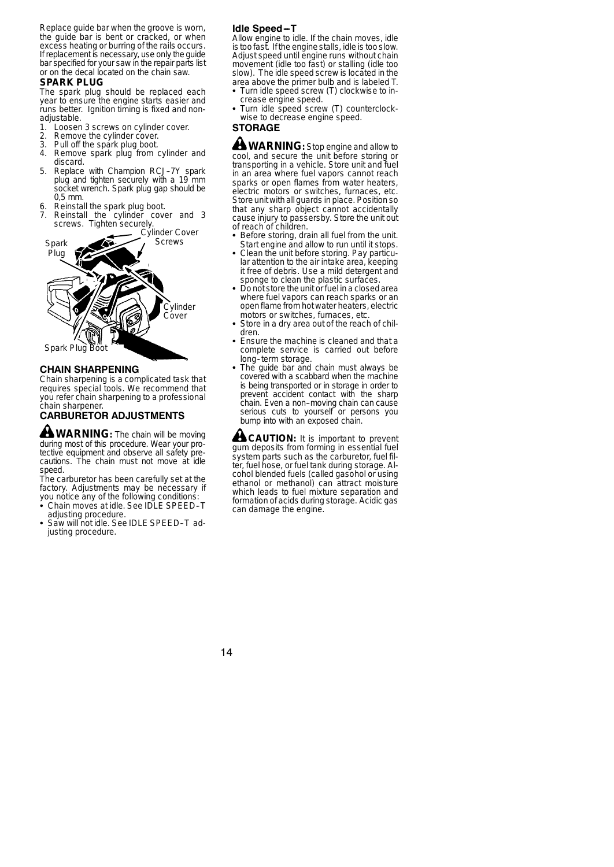Replace guide bar when the groove is worn, the guide bar is bent or cracked, or when excess heating or burring of the rails occurs. If replacement is necessary, use only the guide bar specified for your saw in the repair parts list or on the decal located on the chain saw.

#### **SPARK PLUG**

The spark plug should be replaced each year to ensure the engine starts easier and runs better. Ignition timing is fixed and nonadjustable.

- 1. Loosen 3 screws on cylinder cover.<br>2. Remove the cylinder cover.
- 2. Remove the cylinder cover.<br>3. Pull off the spark plug boot.
- 
- 3. Pull off the spark plug boot. 4. Remove spark plug from cylinder and discard.
- 5. Replace with Champion RCJ-7Y spark plug and tighten securely with a 19 mm socket wrench. Spark plug gap should be 0,5 mm.
- Reinstall the spark plug boot.
- Reinstall the cylinder cover and 3 screws. Tighten securely.



## **CHAIN SHARPENING**

Chain sharpening is a complicated task that requires special tools. We recommend that you refer chain sharpening to a professional chain sharpener.

# **CARBURETOR ADJUSTMENTS**

**WARNING:** The chain will be moving during most of this procedure. Wear your protective equipment and observe all safety precautions. The chain must not move at idle speed.

The carburetor has been carefully set at the factory. Adjustments may be necessary if you notice any of the following conditions

- $\cdot$  Chain moves at idle. See IDLE SPEED-T adjusting procedure.
- Saw will not idle. See IDLE SPEED-T adjusting procedure.

#### **Idle Speed-T**

Allow engine to idle. If the chain moves, idle is too fast. If the engine stalls, idle is too slow. Adjust speed until engine runs without chain movement (idle too fast) or stalling (idle too slow). The idle speed screw is located in the area above the primer bulb and is labeled T.

- Turn idle speed screw (T) clockwise to increase engine speed.
- Turn idle speed screw (T) counterclockwise to decrease engine speed.

## **STORAGE**

**WARNING:** Stop engine and allow to cool, and secure the unit before storing or transporting in a vehicle. Store unit and fuel in an area where fuel vapors cannot reach sparks or open flames from water heaters. electric motors or switches, furnaces, etc. Store unit with all guards in place. Position so that any sharp object cannot accidentally cause injury to passersby. Store the unit out of reach of children.

- Before storing, drain all fuel from the unit. Start engine and allow to run until it stops.
- Clean the unit before storing. Pay particular attention to the air intake area, keeping it free of debris. Use a mild detergent and sponge to clean the plastic surfaces.
- Do not store the unit or fuel in a closed area where fuel vapors can reach sparks or an openflame from hot water heaters, electric motors or switches, furnaces, etc.
- Store in a dry area out of the reach of children.
- Ensure the machine is cleaned and that a complete service is carried out before long--term storage.
- The guide bar and chain must always be covered with a scabbard when the machine is being transported or in storage in order to prevent accident contact with the sharp chain. Even a non-moving chain can cause serious cuts to yourself or persons you bump into with an exposed chain.

**CAUTION:** It is important to prevent gum deposits from forming in essential fuel system parts such as the carburetor, fuel fil-ter, fuel hose, or fuel tank during storage. Alcohol blended fuels (called gasohol or using ethanol or methanol) can attract moisture which leads to fuel mixture separation and formation of acids during storage. Acidic gas can damage the engine.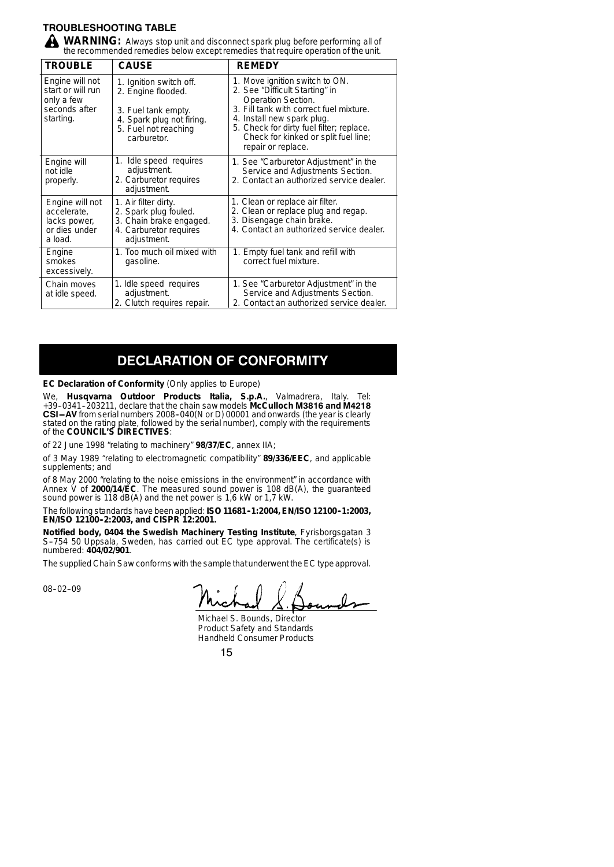## **TROUBLESHOOTING TABLE**

WARNING: Always stop unit and disconnect spark plug before performing all of the recommended remedies below except remedies that require operation of the unit.

| <b>TROUBLE</b>                                                                   | <b>CAUSE</b>                                                                                                                             | <b>REMEDY</b>                                                                                                                                                                                                                                                             |
|----------------------------------------------------------------------------------|------------------------------------------------------------------------------------------------------------------------------------------|---------------------------------------------------------------------------------------------------------------------------------------------------------------------------------------------------------------------------------------------------------------------------|
| Engine will not<br>start or will run<br>only a few<br>seconds after<br>starting. | 1. Ignition switch off.<br>2. Engine flooded.<br>3. Fuel tank empty.<br>4. Spark plug not firing.<br>5. Fuel not reaching<br>carburetor. | 1. Move ignition switch to ON.<br>2. See "Difficult Starting" in<br>Operation Section.<br>3. Fill tank with correct fuel mixture.<br>4. Install new spark plug.<br>5. Check for dirty fuel filter; replace.<br>Check for kinked or split fuel line;<br>repair or replace. |
| Engine will<br>not idle<br>properly.                                             | 1. Idle speed requires<br>adjustment.<br>2. Carburetor requires<br>adjustment.                                                           | 1. See "Carburetor Adjustment" in the<br>Service and Adjustments Section.<br>2. Contact an authorized service dealer.                                                                                                                                                     |
| Engine will not<br>accelerate,<br>lacks power,<br>or dies under<br>a load.       | 1. Air filter dirty.<br>2. Spark plug fouled.<br>3. Chain brake engaged.<br>4. Carburetor requires<br>adjustment.                        | 1. Clean or replace air filter.<br>2. Clean or replace plug and regap.<br>3. Disengage chain brake.<br>4. Contact an authorized service dealer.                                                                                                                           |
| Engine<br>smokes<br>excessively.                                                 | 1. Too much oil mixed with<br>gasoline.                                                                                                  | 1. Empty fuel tank and refill with<br>correct fuel mixture.                                                                                                                                                                                                               |
| Chain moves<br>at idle speed.                                                    | 1. Idle speed requires<br>adjustment.<br>2. Clutch requires repair.                                                                      | 1. See "Carburetor Adjustment" in the<br>Service and Adjustments Section.<br>2. Contact an authorized service dealer.                                                                                                                                                     |

# **DECLARATION OF CONFORMITY**

#### **EC Declaration of Conformity** (Only applies to Europe)

We, **Husqvarna Outdoor Products Italia, S.p.A.**, Valmadrera, Italy. Tel: +39--0341--203211, declare that the chain saw models **McCulloch M3816 and M4218 CSI-AV** from serial numbers 2008-040(N or D) 00001 and onwards (the year is clearly stated on the rating plate, followed by the serial number), comply with the requirements of the **COUNCIL'S DIRECTIVES**:

of 22 June 1998 "relating to machinery" **98/37/EC**, annex IIA;

of 3 May 1989 "relating to electromagnetic compatibility" **89/336/EEC**, and applicable supplements; and

of 8 May 2000 "relating to the noise emissions in the environment" in accordance with<br>Annex V of **2000/14/EC**. The measured sound power is 108 dB(A), the guaranteed<br>sound power is 118 dB(A) and the net power is 1,6 kW or 1

The following standards have been applied: **ISO 11681-1:2004, EN/ISO 12100-1:2003,**<br>**EN/ISO 12100-2:2003, and CISPR 12:2001.** 

**Notified body, 0404 the Swedish Machinery Testing Institute**, Fyrisborgsgatan 3<br>S-754 50 Uppsala, Sweden, has carried out EC type approval. The certificate(s) is numbered: **404/02/901**.

The supplied Chain Saw conforms with the sample that underwent the EC type approval.

08-02-09

Michael S. Bounds, Director Product Safety and Standards Handheld Consumer Products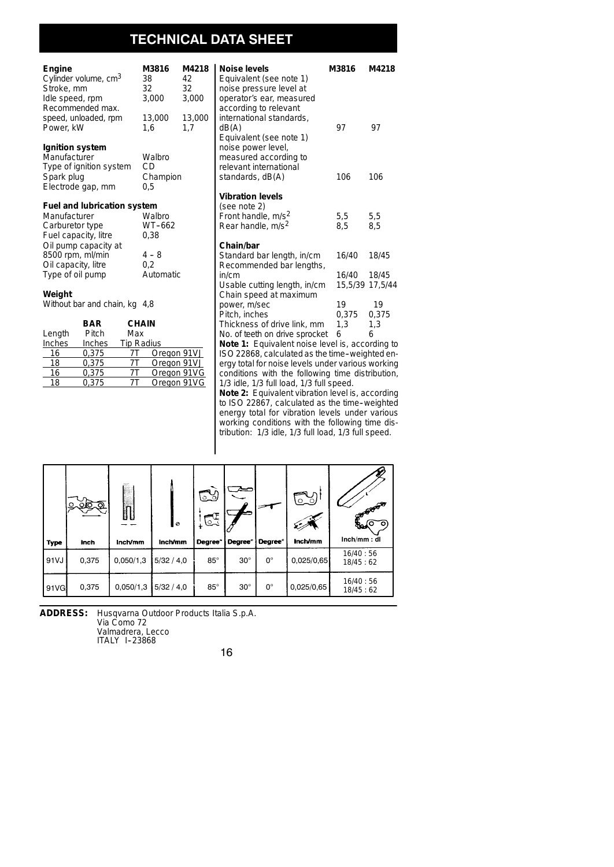# **TECHNICAL DATA SHEET**

| Engine<br>Cylinder volume, cm <sup>3</sup><br>Stroke, mm<br>Idle speed, rpm | 38<br>32     | M3816<br>3,000 | M4218<br>42<br>32<br>3,000 | Noise levels<br>Equivalent (see note 1)<br>noise pressure level at<br>operator's ear, measure |
|-----------------------------------------------------------------------------|--------------|----------------|----------------------------|-----------------------------------------------------------------------------------------------|
| Recommended max.<br>speed, unloaded, rpm<br>Power, kW                       | 1.6          | 13,000         | 13,000<br>1.7              | according to relevant<br>international standards,<br>dB(A)                                    |
| Ignition system                                                             |              |                |                            | Equivalent (see note 1)<br>noise power level,                                                 |
| Manufacturer                                                                | CD           | Walbro         |                            | measured according to                                                                         |
| Type of ignition system<br>Spark plug                                       |              | Champion       |                            | relevant international<br>standards, dB(A)                                                    |
| Electrode gap, mm                                                           | 0.5          |                |                            |                                                                                               |
|                                                                             |              |                |                            | <b>Vibration levels</b>                                                                       |
| <b>Fuel and lubrication system</b>                                          |              |                |                            | (see note 2)                                                                                  |
| Manufacturer                                                                |              | Walbro         |                            | Front handle, m/s <sup>2</sup>                                                                |
| Carburetor type                                                             |              | WT-662         |                            | Rear handle, m/s <sup>2</sup>                                                                 |
| Fuel capacity, litre<br>Oil pump capacity at                                |              | 0,38           |                            | Chain/bar                                                                                     |
| 8500 rpm, ml/min                                                            |              | $4 - 8$        |                            | Standard bar length, in/                                                                      |
| Oil capacity, litre                                                         |              | 0,2            |                            | Recommended bar lend                                                                          |
| Type of oil pump                                                            |              | Automatic      |                            | in/cm                                                                                         |
|                                                                             |              |                |                            | Usable cutting length, in                                                                     |
| Weight                                                                      |              |                |                            | Chain speed at maximu                                                                         |
| Without bar and chain, kg 4,8                                               |              |                |                            | power, m/sec<br>Pitch, inches                                                                 |
| BAR                                                                         | <b>CHAIN</b> |                |                            | Thickness of drive link.                                                                      |

|        | --     | יווהוי            |             |
|--------|--------|-------------------|-------------|
| Length | Pitch  | Max               |             |
| Inches | Inches | <b>Tip Radius</b> |             |
| 16     | 0.375  |                   | Oregon 91VJ |
| 18     | 0.375  | 7Τ                | Oregon 91VJ |
| 16     | 0.375  |                   | Oregon 91VG |
| 18     | 0.375  |                   | Oregon 91VG |
|        |        |                   |             |

| noidd proddaid idi<br>operator's ear, measured<br>according to relevant |                 |       |  |  |  |
|-------------------------------------------------------------------------|-----------------|-------|--|--|--|
| international standards,<br>dB(A)<br>Equivalent (see note 1)            | 97              | 97    |  |  |  |
| noise power level,<br>measured according to                             |                 |       |  |  |  |
| relevant international                                                  |                 |       |  |  |  |
| standards, dB(A)                                                        | 106             | 106   |  |  |  |
| <b>Vibration levels</b>                                                 |                 |       |  |  |  |
| (see note 2)                                                            |                 |       |  |  |  |
| Front handle, m/s <sup>2</sup>                                          | 5,5             | 5,5   |  |  |  |
| Rear handle, m/s <sup>2</sup>                                           | 8,5             | 8.5   |  |  |  |
| Chain/bar                                                               |                 |       |  |  |  |
| Standard bar length, in/cm<br>Recommended bar lengths,                  | 16/40           | 18/45 |  |  |  |
| in/cm                                                                   | 16/40 18/45     |       |  |  |  |
| Usable cutting length, in/cm                                            | 15.5/39 17.5/44 |       |  |  |  |
| Chain speed at maximum                                                  |                 |       |  |  |  |
| power, m/sec                                                            | 19              | 19    |  |  |  |
| Pitch, inches                                                           | 0.375           | 0.375 |  |  |  |
| Thickness of drive link, mm                                             | 1,3             | 1.3   |  |  |  |
| No. of teeth on drive sprocket                                          | 6               | 6     |  |  |  |
| Note 1: Equivalent noise level is, according to                         |                 |       |  |  |  |
| ISO 22868, calculated as the time-weighted en-                          |                 |       |  |  |  |
| ergy total for noise levels under various working                       |                 |       |  |  |  |
| conditions with the following time distribution,                        |                 |       |  |  |  |
| 1/3 idle, 1/3 full load, 1/3 full speed.                                |                 |       |  |  |  |
| Note 2: Equivalent vibration level is, according                        |                 |       |  |  |  |

**Noise levels M3816 M4218**

to ISO 22867, calculated as the time-weighted energy total for vibration levels under various working conditions with the following time distribution: 1/3 idle, 1/3 full load, 1/3 full speed.

| Type  | ᠗<br>o<br>Ю<br>Inch | $\overline{\mathbb{D}}$<br>Inch/mm | I۰<br>Inch/mm | ದು<br>ಡ<br>Degree <sup>°</sup> | <b>Degree</b> <sup>°</sup> | <b>Degree</b> <sup>°</sup> | $\circ$ _ $\circ$<br>Inch/mm | CONFERENCE A<br>ίО<br>જ્ઞ<br>Inch/mm: dl |
|-------|---------------------|------------------------------------|---------------|--------------------------------|----------------------------|----------------------------|------------------------------|------------------------------------------|
| 91 VJ | 0,375               | 0,050/1,3                          | 5/32/4,0      | $85^\circ$                     | $30^\circ$                 | $0^{\circ}$                | 0,025/0,65                   | 16/40:56<br>18/45:62                     |
| 91VG  | 0,375               | 0,050/1,3                          | 5/32/4,0      | $85^\circ$                     | $30^\circ$                 | $0^{\circ}$                | 0,025/0,65                   | 16/40:56<br>18/45:62                     |

**ADDRESS:** Husqvarna Outdoor Products Italia S.p.A.

Via Como 72<br>Valmadrera, Lecco<br>ITALY 1-23868